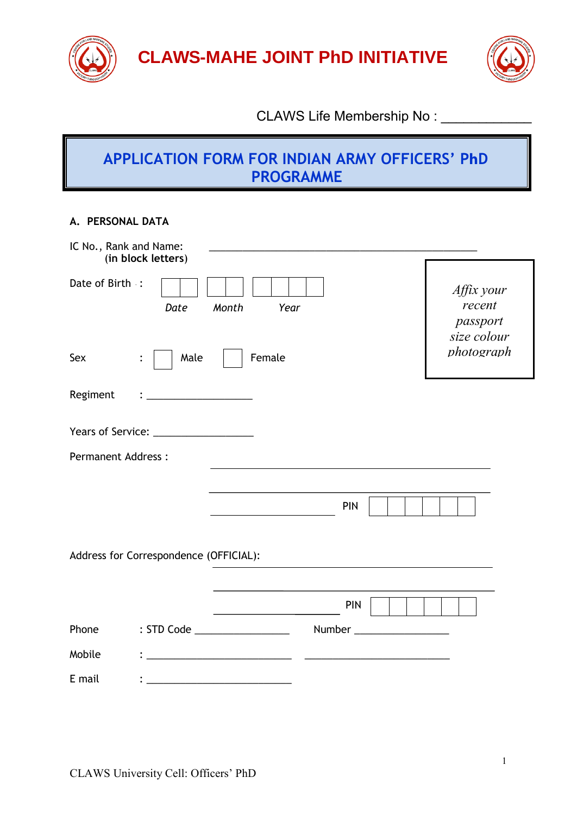

**CLAWS-MAHE JOINT PhD INITIATIVE** 



# CLAWS Life Membership No : \_\_\_\_\_\_\_\_\_\_\_\_

# **APPLICATION FORM FOR INDIAN ARMY OFFICERS' PhD PROGRAMME**

#### **A. PERSONAL DATA**

| IC No., Rank and Name:    | (in block letters)                                                                                                   |                                                                                                                       |            |                                                               |
|---------------------------|----------------------------------------------------------------------------------------------------------------------|-----------------------------------------------------------------------------------------------------------------------|------------|---------------------------------------------------------------|
| Date of Birth :           | Date                                                                                                                 | Month<br>Year                                                                                                         |            | Affix your<br>recent<br>passport<br>size colour<br>photograph |
| Sex                       | Male<br>$\ddot{\cdot}$                                                                                               | Female                                                                                                                |            |                                                               |
| Regiment                  | <u> 1989 - Johann John Stein, mars eta bat eta bat eta bat eta bat eta bat eta bat eta bat eta bat eta bat eta b</u> |                                                                                                                       |            |                                                               |
|                           |                                                                                                                      |                                                                                                                       |            |                                                               |
| <b>Permanent Address:</b> |                                                                                                                      |                                                                                                                       |            |                                                               |
|                           |                                                                                                                      |                                                                                                                       |            |                                                               |
|                           |                                                                                                                      |                                                                                                                       | <b>PIN</b> |                                                               |
|                           | Address for Correspondence (OFFICIAL):                                                                               |                                                                                                                       |            |                                                               |
|                           |                                                                                                                      |                                                                                                                       | <b>PIN</b> |                                                               |
| Phone                     |                                                                                                                      | : STD Code __________________                                                                                         |            |                                                               |
| Mobile                    |                                                                                                                      | <u> 1989 - Johann Barbara, martin amerikan basal dan berasal dan berasal dalam basal dalam basal dalam basal dala</u> |            |                                                               |
| E mail                    |                                                                                                                      |                                                                                                                       |            |                                                               |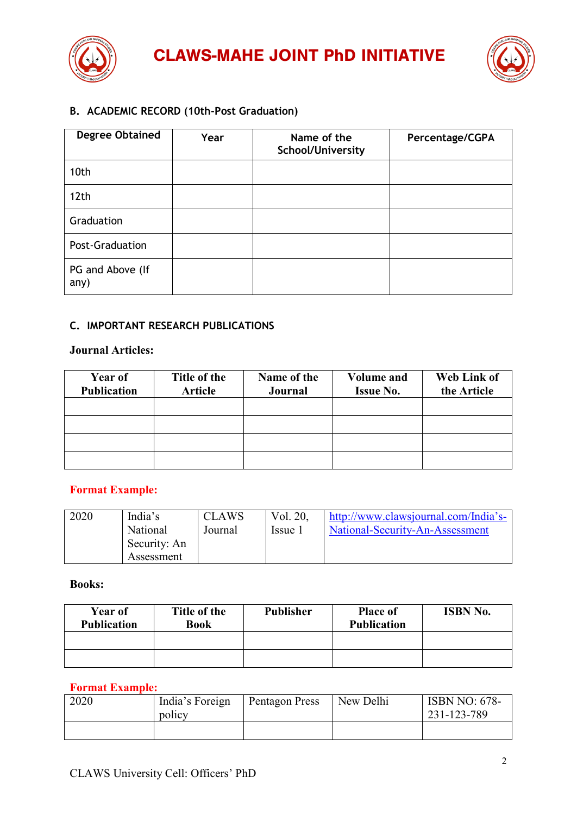



# **B. ACADEMIC RECORD (10th-Post Graduation)**

| <b>Degree Obtained</b>   | Year | Name of the<br>School/University | Percentage/CGPA |
|--------------------------|------|----------------------------------|-----------------|
| 10th                     |      |                                  |                 |
| 12th                     |      |                                  |                 |
| Graduation               |      |                                  |                 |
| Post-Graduation          |      |                                  |                 |
| PG and Above (If<br>any) |      |                                  |                 |

## **C. IMPORTANT RESEARCH PUBLICATIONS**

#### **Journal Articles:**

| <b>Year of</b><br><b>Publication</b> | Title of the<br><b>Article</b> | Name of the<br>Journal | <b>Volume and</b><br><b>Issue No.</b> | Web Link of<br>the Article |
|--------------------------------------|--------------------------------|------------------------|---------------------------------------|----------------------------|
|                                      |                                |                        |                                       |                            |
|                                      |                                |                        |                                       |                            |
|                                      |                                |                        |                                       |                            |
|                                      |                                |                        |                                       |                            |

#### **Format Example:**

| 2020 | India's      | <b>CLAWS</b> | Vol. 20, | http://www.clawsjournal.com/India's- |
|------|--------------|--------------|----------|--------------------------------------|
|      | National     | Journal      | Issue 1  | National-Security-An-Assessment      |
|      | Security: An |              |          |                                      |
|      | Assessment   |              |          |                                      |

#### **Books:**

| Year of<br><b>Publication</b> | Title of the<br><b>Book</b> | <b>Publisher</b> | <b>Place of</b><br><b>Publication</b> | <b>ISBN No.</b> |
|-------------------------------|-----------------------------|------------------|---------------------------------------|-----------------|
|                               |                             |                  |                                       |                 |
|                               |                             |                  |                                       |                 |

#### **Format Example:**

| 2020 | India's Foreign<br>policy | Pentagon Press | New Delhi | <b>ISBN NO: 678-</b><br>231-123-789 |
|------|---------------------------|----------------|-----------|-------------------------------------|
|      |                           |                |           |                                     |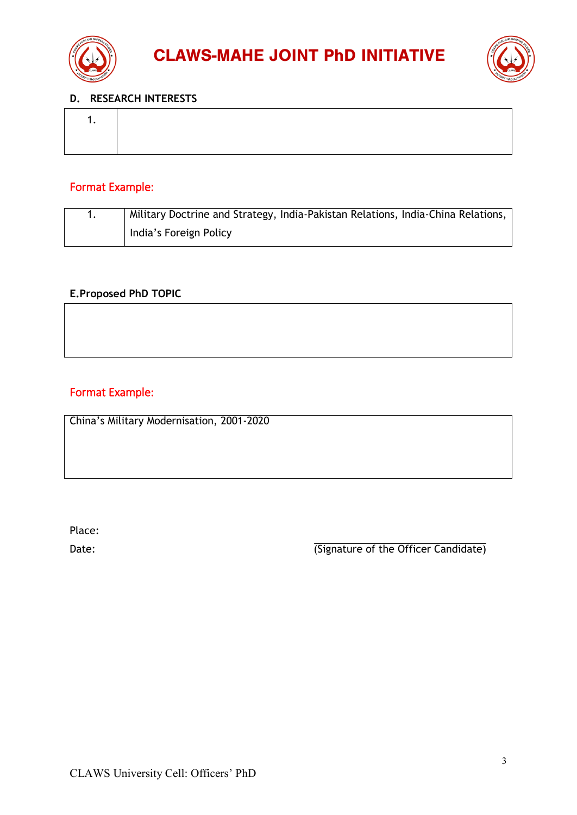



#### **D. RESEARCH INTERESTS**

# Format Example:

| Military Doctrine and Strategy, India-Pakistan Relations, India-China Relations, |
|----------------------------------------------------------------------------------|
| India's Foreign Policy                                                           |

## **E.Proposed PhD TOPIC**

# Format Example:

China's Military Modernisation, 2001-2020

Place:

Date: Date: Candidate of the Officer Candidate)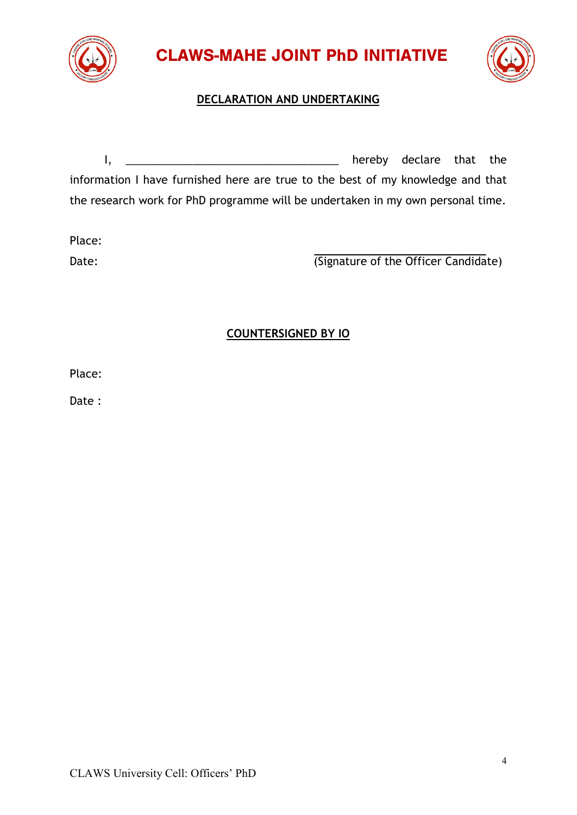

CLAWS-MAHE JOINT PhD INITIATIVE



# **DECLARATION AND UNDERTAKING**

I, \_\_\_\_\_\_\_\_\_\_\_\_\_\_\_\_\_\_\_\_\_\_\_\_\_\_\_\_\_\_\_\_\_\_\_ hereby declare that the information I have furnished here are true to the best of my knowledge and that the research work for PhD programme will be undertaken in my own personal time.

Place:

Date: Candidate of the Officer Candidate)

# **COUNTERSIGNED BY IO**

Place:

Date :